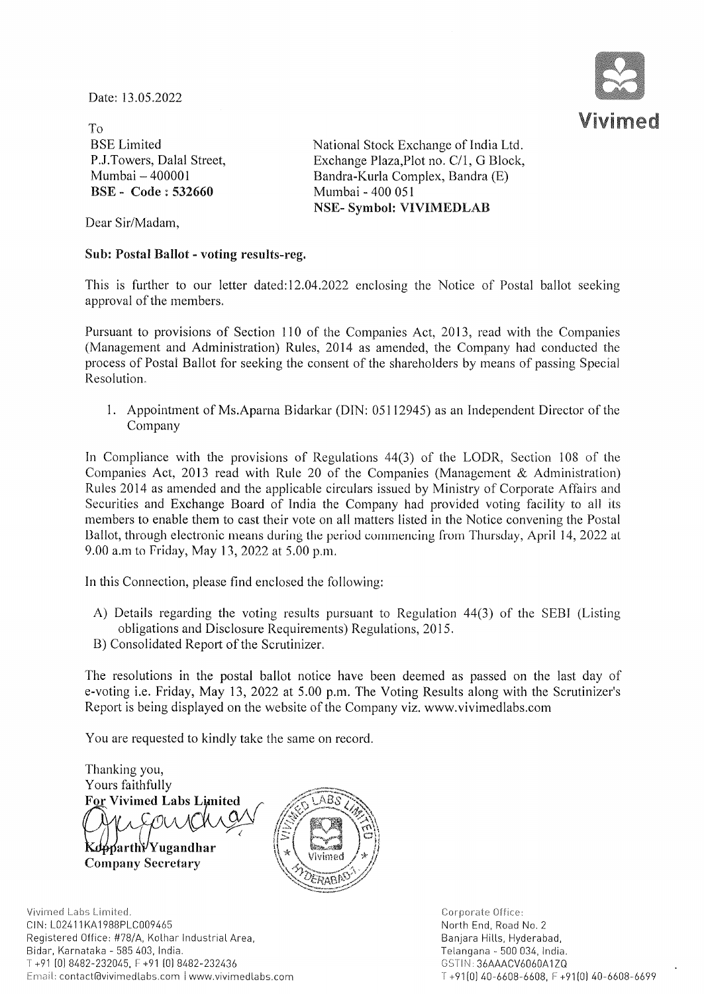Date: 13.05.2022



To BSE Limited P.1.Towers, Dalal Street, Mumbai - 400001 ESE - Code: 532660

National Stock Exchange of India Ltd. Exchange Plaza, Plot no. C/1, G Block, Bandra-Kurla Complex, Bandra (E) Mumbai - 400 051 NSE- Symbol: VIVIMEDLAB

Dear Sir/Madam,

### Sub: Postal Ballot - voting results-reg.

This is further to our letter dated: 12.04.2022 enclosing the Notice of Postal ballot seeking approval of the members.

Pursuant to provisions of Section 110 of the Companies Act, 2013, read with the Companies (Management and Administration) Rules, 2014 as amended, the Company had conducted the process of Postal Ballot for seeking the consent of the shareholders by means of passing Special Resolution.

1. Appointment of Ms.Aparna Bidarkar (DIN: 05112945) as an Independent Director of the Company

In Compliance with the provisions of Regulations  $44(3)$  of the LODR, Section 108 of the Companies Act, 2013 read with Rule 20 of the Companies (Management & Administration) Rules 2014 as amended and the applicable circulars issued by Ministry of Corporate Affairs and Securities and Exchange Board of India the Company had provided voting facility to all its members to enable them to cast their vote on all matters listed in the Notice convening the Postal Ballot, through electronic means during the period commencing from Thursday, April 14, 2022 at 9.00 a.m to Friday, May 13, 2022 at 5.00 p.m.

In this Connection, please find enclosed the following:

- A) Details regarding the voting results pursuant to Regulation 44(3) of the SEB1 (Listing obligations and Disclosure Requirements) Regulations, 2015.
- B) Consolidated Report of the Scrutinizer.

The resolutions in the postal ballot notice have been deemed as passed on the last day of e-voting i.e. Friday, May 13,2022 at 5.00 p.m. The Voting Results along with the Scrutinizer's Report is being displayed on the website of the Company viz. www.vivimedlabs.com

You are requested to kindly take the same on record.

Thanking you, Yours faithfully For Vivimed Labs Limited Prispublice Kdoparthy Yugandhar

Company Secretary



Vivimed Labs Limited. CIN: L02411KA1988PLC009465 Registered Office: #78/A, Kolhar Industrial Area, Bidar, Karnataka - 585 403, India. T +91 [0)8482-232045, F +91 [0)8482-232436 Email: contact@vivimedlabs.com | www.vivimedlabs.com Corporate Office: North End, Road No.2 Banjara Hills, Hyderabad, Telangana - 500 034, India. GSTIN: 36AAACV6060A1ZQ T +91 [0) 40-6608-6608, F +91 [0) 40-6608-6699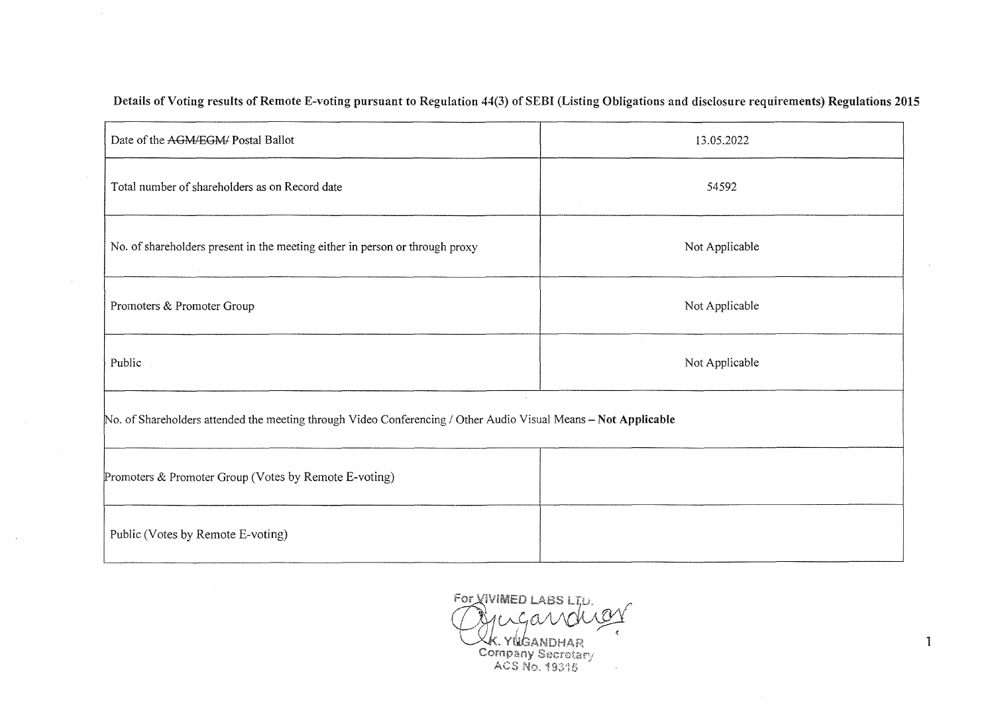| Date of the AGM/EGM/ Postal Ballot                                                                              | 13.05.2022     |  |  |  |  |
|-----------------------------------------------------------------------------------------------------------------|----------------|--|--|--|--|
| Total number of shareholders as on Record date                                                                  | 54592          |  |  |  |  |
| No. of shareholders present in the meeting either in person or through proxy                                    | Not Applicable |  |  |  |  |
| Promoters & Promoter Group                                                                                      | Not Applicable |  |  |  |  |
| Public                                                                                                          | Not Applicable |  |  |  |  |
| No. of Shareholders attended the meeting through Video Conferencing / Other Audio Visual Means - Not Applicable |                |  |  |  |  |
| Promoters & Promoter Group (Votes by Remote E-voting)                                                           |                |  |  |  |  |
| Public (Votes by Remote E-voting)                                                                               |                |  |  |  |  |

Details of Voting results of Remote E-voting pursuant to Regulation 44(3) of SEBI (Listing Obligations and disclosure requirements) Regulations 2015

 $\sim$ 

 $\sim$ 

 $\sim$ 

FOR VIVIMED LABS LT.D. Grugavar  $\epsilon$ XX. YUGANDHAR<br>Company Secretary<br>ACS No. 19315

 $\mathbf{1}$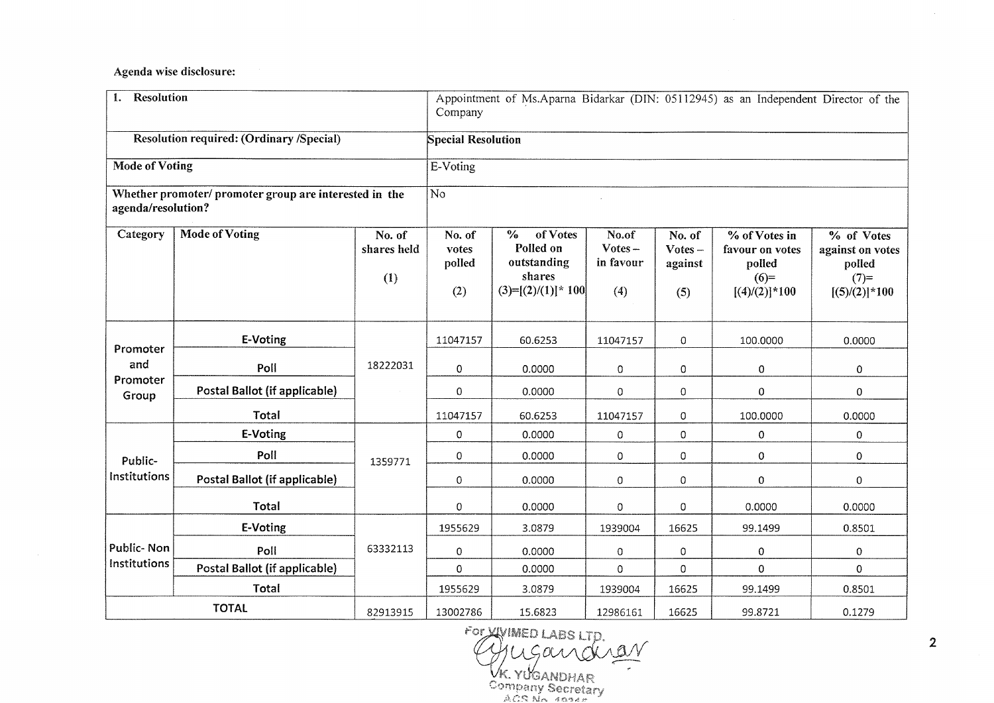Agenda wise disclosure:

| <b>Resolution</b><br>1.              |                                                        |                              | Company                          |                                                                                 |                                        |                                       | Appointment of Ms.Aparna Bidarkar (DIN: 05112945) as an Independent Director of the |                                                                         |
|--------------------------------------|--------------------------------------------------------|------------------------------|----------------------------------|---------------------------------------------------------------------------------|----------------------------------------|---------------------------------------|-------------------------------------------------------------------------------------|-------------------------------------------------------------------------|
|                                      | <b>Resolution required: (Ordinary /Special)</b>        |                              | <b>Special Resolution</b>        |                                                                                 |                                        |                                       |                                                                                     |                                                                         |
| <b>Mode of Voting</b>                |                                                        | E-Voting                     |                                  |                                                                                 |                                        |                                       |                                                                                     |                                                                         |
| agenda/resolution?                   | Whether promoter/ promoter group are interested in the |                              | $\overline{No}$                  |                                                                                 |                                        |                                       |                                                                                     |                                                                         |
| Category                             | <b>Mode of Voting</b>                                  | No. of<br>shares held<br>(1) | No. of<br>votes<br>polled<br>(2) | $\%$<br>of Votes<br>Polled on<br>outstanding<br>shares<br>$(3)=[(2)/(1)]$ * 100 | No.of<br>$Votes -$<br>in favour<br>(4) | No. of<br>$Votes -$<br>against<br>(5) | % of Votes in<br>favour on votes<br>polled<br>$(6)=$<br>$[(4)/(2)]$ * 100           | % of Votes<br>against on votes<br>polled<br>$(7)=$<br>$[(5)/(2)]$ * 100 |
| Promoter<br>and<br>Promoter<br>Group | E-Voting                                               | 18222031                     | 11047157                         | 60.6253                                                                         | 11047157                               | 0                                     | 100.0000                                                                            | 0.0000                                                                  |
|                                      | Poll                                                   |                              | $\mathbf{0}$                     | 0.0000                                                                          | 0                                      | $\mathbf 0$                           | 0                                                                                   | 0                                                                       |
|                                      | Postal Ballot (if applicable)                          |                              | $\Omega$                         | 0.0000                                                                          | $\Omega$                               | $\mathbf 0$                           | $\Omega$                                                                            | 0                                                                       |
|                                      | Total                                                  |                              | 11047157                         | 60.6253                                                                         | 11047157                               | $\circ$                               | 100.0000                                                                            | 0.0000                                                                  |
| Public-<br>Institutions              | E-Voting                                               | 1359771                      | $\mathbf 0$                      | 0.0000                                                                          | 0                                      | $\mathbf 0$                           | 0                                                                                   | 0                                                                       |
|                                      | Poll                                                   |                              | $\mathbf 0$                      | 0.0000                                                                          | 0                                      | 0                                     | $\mathbf 0$                                                                         | $\mathbf 0$                                                             |
|                                      | Postal Ballot (if applicable)                          |                              | $\mathbf 0$                      | 0.0000                                                                          | 0                                      | $\circ$                               | $\Omega$                                                                            | 0                                                                       |
|                                      | <b>Total</b>                                           |                              | $\mathbf 0$                      | 0.0000                                                                          | 0                                      | $\Omega$                              | 0.0000                                                                              | 0.0000                                                                  |
| <b>Public-Non</b><br>Institutions    | E-Voting                                               | 63332113                     | 1955629                          | 3.0879                                                                          | 1939004                                | 16625                                 | 99.1499                                                                             | 0.8501                                                                  |
|                                      | Poll                                                   |                              | $\mathbf 0$                      | 0.0000                                                                          | 0                                      | 0                                     | $\overline{0}$                                                                      | 0                                                                       |
|                                      | Postal Ballot (if applicable)                          |                              | $\mathbf 0$                      | 0.0000                                                                          | $\Omega$                               | $\Omega$                              | $\mathbf 0$                                                                         | 0                                                                       |
|                                      | Total                                                  |                              | 1955629                          | 3.0879                                                                          | 1939004                                | 16625                                 | 99.1499                                                                             | 0.8501                                                                  |
|                                      | <b>TOTAL</b>                                           | 82913915                     | 13002786                         | 15.6823                                                                         | 12986161                               | 16625                                 | 99.8721                                                                             | 0.1279                                                                  |

2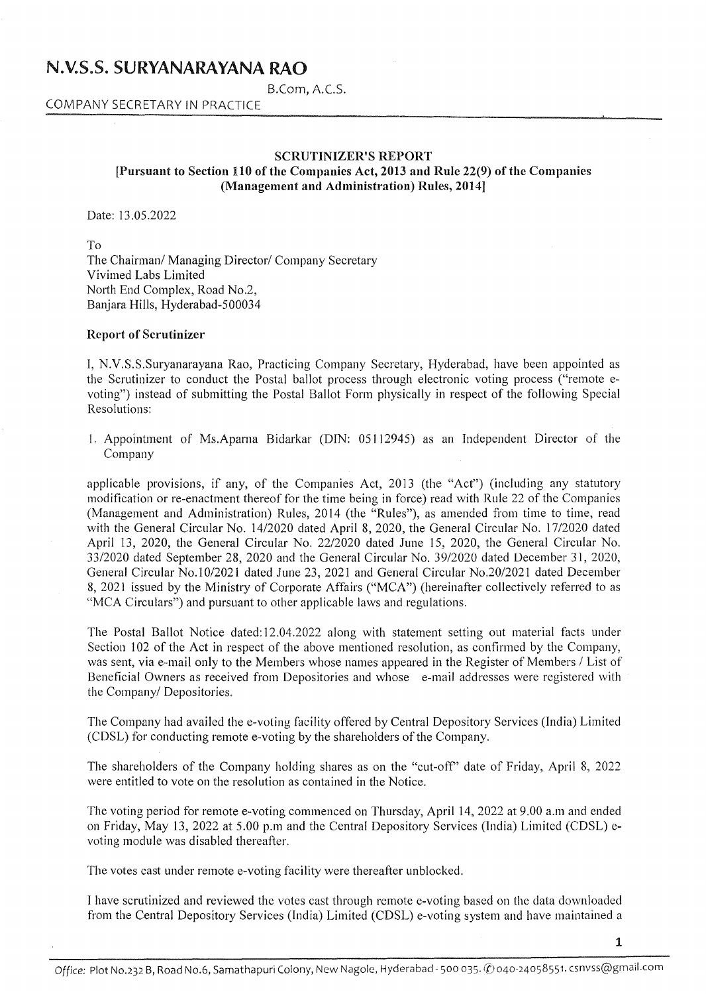## N.V.S.S. SURYANARAYANA RAO

B.Com, A.C.S.

COMPANY SECRETARY IN PRACTICE

#### SCRUTINIZER'S REPORT [Pursuant to Section 110 of the Companies Act, 2013 and Rule 22(9) of the Companies (Management and Administration) Rules, 2014]

Date: 13.05.2022

To The Chairman/ Managing Director/ Company Secretary Vivimed Labs Limited North End Complex, Road No.2, Banjara Hills, Hyderabad-500034

#### Report of Scrutinizer

I, N.V.S.S.Suryanarayana Rao, Practicing Company Secretary, Hyderabad, have been appointed as the Scrutinizer to conduct the Postal ballot process through electronic voting process ("remote evoting") instead of submitting the Postal Ballot Form physically in respect of the following Special Resolutions:

L Appointment of Ms.Aparna Bidarkar (DIN: 05112945) as an Independent Director of the Company

applicable provisions, if any, of the Companies Act, 2013 (the "Act") (including any statutory modification or re-enactment thereof for the time being in force) read with Rule 22 of the Companies (Management and Administration) Rules, 2014 (the "Rules"), as amended from time to time, read with the General Circular No. 14/2020 dated April 8, 2020, the General Circular No. *17/2020* dated April 13, 2020, the General Circular No. 22/2020 dated June 15, 2020, the General Circular No. 33/2020 dated September 28, 2020 and the General Circular No. *39/2020* dated December 31, 2020, General Circular No.1 0/2021 dated June 23, 2021 and General Circular No.20/2021 dated December 8, 2021 issued by the Ministry of Corporate Affairs ("MCA") (hereinafter collectively referred to as "MCA Circulars") and pursuant to other applicable laws and regulations.

The Postal Ballot Notice dated: 12.04.2022 along with statement setting out material facts under Section 102 of the Act in respect of the above mentioned resolution, as confirmed by the Company, was sent, via e-mail only to the Members whose names appeared in the Register of Members / List of Beneficial Owners as received from Depositories and whose e-mail addresses were registered with the Company/ Depositories.

The Company had availed the e-voting facility offered by Central Depository Services (India) Limited (CDSL) for conducting remote e-voting by the shareholders of the Company.

The shareholders of the Company holding shares as on the "cut-off' date of Friday, April 8, 2022 were entitled to vote on the resolution as contained in the Notice.

The voting period for remote e-voting commenced on Thursday, April 14,2022 at 9.00 a.m and ended on Friday, May 13,2022 at 5.00 p.m and the Central Depository Services (India) Limited (CDSL) evoting module was disabled thereafter.

The votes cast under remote e-voting facility were thereafter unblocked.

I have scrutinized and reviewed the votes cast through remote e-voting based on the data downloaded from the Central Depository Services (India) Limited (CDSL) e-voting system and have maintained a